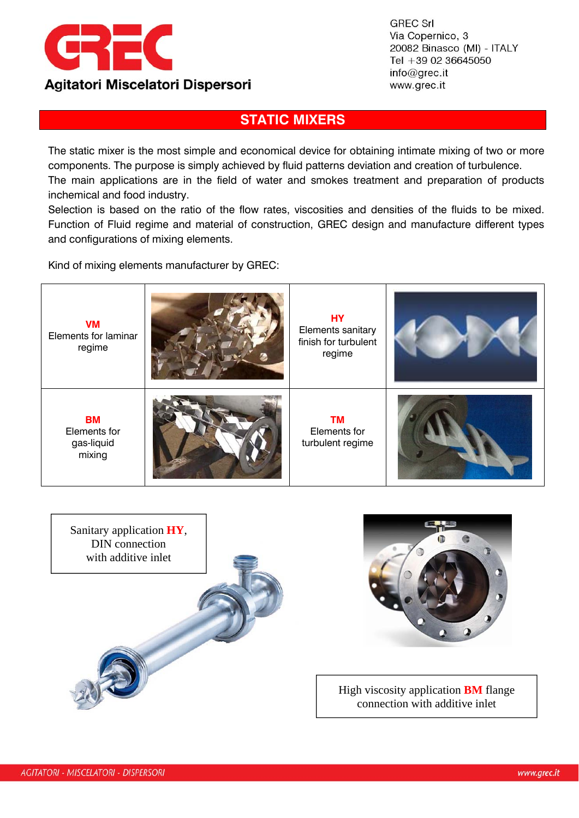

**GREC Srl** Via Copernico, 3 20082 Binasco (MI) - ITALY Tel +39 02 36645050  $info@qrec.it$ www.grec.it

## **STATIC MIXERS**

The static mixer is the most simple and economical device for obtaining intimate mixing of two or more components. The purpose is simply achieved by fluid patterns deviation and creation of turbulence. The main applications are in the field of water and smokes treatment and preparation of products inchemical and food industry.

Selection is based on the ratio of the flow rates, viscosities and densities of the fluids to be mixed. Function of Fluid regime and material of construction, GREC design and manufacture different types and configurations of mixing elements.

Kind of mixing elements manufacturer by GREC:







High viscosity application **BM** flange connection with additive inlet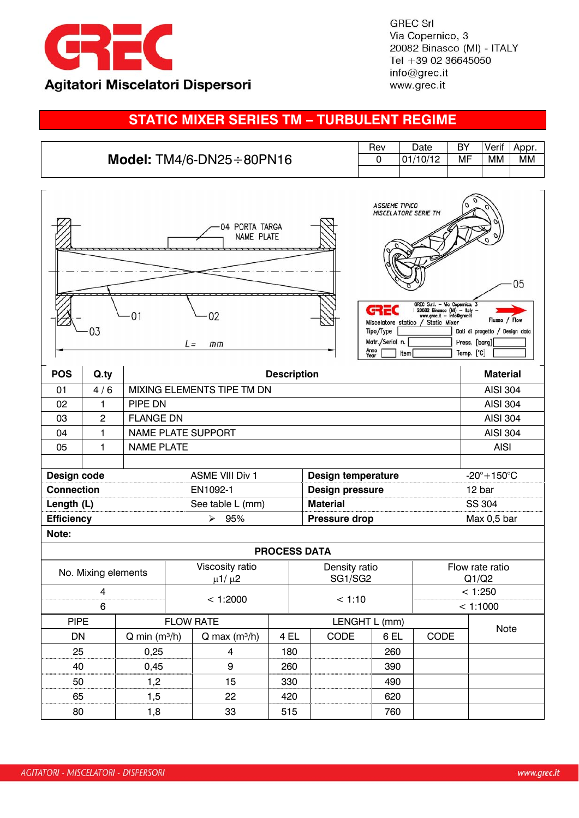

**GREC Srl** Via Copernico, 3 20082 Binasco (MI) - ITALY Tel +39 02 36645050 info@grec.it www.grec.it

## **STATIC MIXER SERIES TM – TURBULENT REGIME**

|                                 | Rev | Date     | BY | Verif | Appr. |
|---------------------------------|-----|----------|----|-------|-------|
| Model: $TM4/6-DN25 \div 80PN16$ |     | 01/10/12 | МF | MМ    | МM    |
|                                 |     |          |    |       |       |

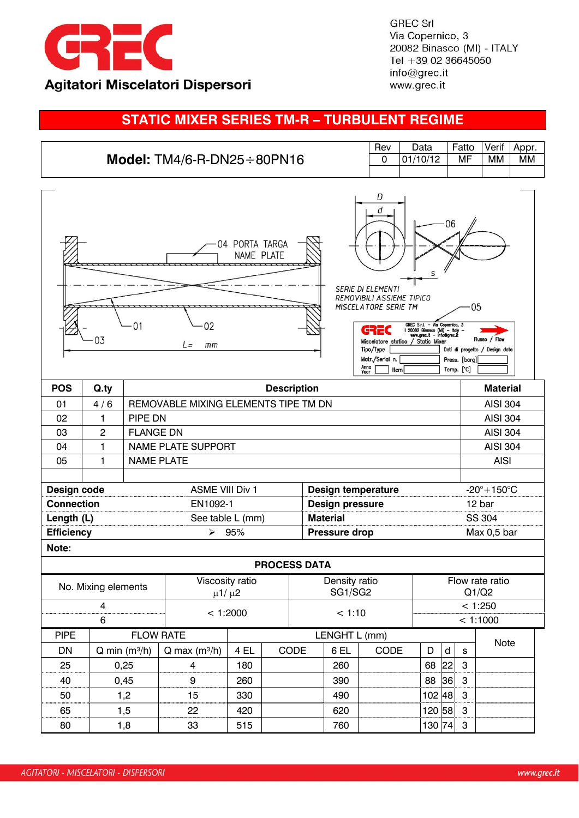

**GREC Srl** Via Copernico, 3 20082 Binasco (MI) - ITALY Tel +39 02 36645050 info@grec.it www.grec.it

## **STATIC MIXER SERIES TM-R – TURBULENT REGIME**

| Model: $TM4/6-R-DN25 \div 80PN16$                                                                                                                                                                                                                                                                                                                                                                                                                                |                |                                      |                             |          |                      |                     | Rev<br>0               | Data<br>01/10/12          |        | Fatto<br>MF   | Verif<br><b>MM</b> | Appr.<br><b>MM</b>        |  |  |
|------------------------------------------------------------------------------------------------------------------------------------------------------------------------------------------------------------------------------------------------------------------------------------------------------------------------------------------------------------------------------------------------------------------------------------------------------------------|----------------|--------------------------------------|-----------------------------|----------|----------------------|---------------------|------------------------|---------------------------|--------|---------------|--------------------|---------------------------|--|--|
|                                                                                                                                                                                                                                                                                                                                                                                                                                                                  |                |                                      |                             |          |                      |                     |                        |                           |        |               |                    |                           |  |  |
| D<br>d<br>06<br>04 PORTA TARGA<br>NAME PLATE<br>s<br><b>SERIE DI ELEMENTI</b><br>REMOVIBILI ASSIEME TIPICO<br>05<br>MISCELATORE SERIE TM<br>01<br>02<br>GREC S.r.l. - Via Copernico, 3<br>1 20082 Binasco (MI) - Italy -<br>www.grec.it - info@grec.it<br>GREC<br>03<br>Flusso / Flow<br>Miscelatore statico / Static Mixer<br>L=<br>mm<br>Tipo/Type<br>Dati di progetto / Design data<br>Matr./Serial n.<br>Press. [barg]<br>Anno<br>Year<br>Temp. [°C]<br>Item |                |                                      |                             |          |                      |                     |                        |                           |        |               |                    |                           |  |  |
| <b>POS</b>                                                                                                                                                                                                                                                                                                                                                                                                                                                       | Q.ty           |                                      | <b>Description</b>          |          |                      |                     |                        |                           |        |               |                    | <b>Material</b>           |  |  |
| 01                                                                                                                                                                                                                                                                                                                                                                                                                                                               | 4/6            | REMOVABLE MIXING ELEMENTS TIPE TM DN |                             |          |                      |                     |                        |                           |        |               | <b>AISI 304</b>    |                           |  |  |
| 02                                                                                                                                                                                                                                                                                                                                                                                                                                                               | 1              | PIPE DN                              |                             |          |                      |                     |                        |                           |        |               | <b>AISI 304</b>    |                           |  |  |
| 03                                                                                                                                                                                                                                                                                                                                                                                                                                                               | $\overline{2}$ | <b>FLANGE DN</b>                     |                             |          |                      |                     |                        |                           |        |               |                    | <b>AISI 304</b>           |  |  |
| 04                                                                                                                                                                                                                                                                                                                                                                                                                                                               | $\mathbf{1}$   | <b>NAME PLATE SUPPORT</b>            |                             |          |                      |                     |                        |                           |        |               |                    | <b>AISI 304</b>           |  |  |
| 05                                                                                                                                                                                                                                                                                                                                                                                                                                                               | 1              | <b>NAME PLATE</b>                    |                             |          |                      |                     |                        |                           |        |               | <b>AISI</b>        |                           |  |  |
|                                                                                                                                                                                                                                                                                                                                                                                                                                                                  |                |                                      |                             |          |                      |                     |                        |                           |        |               |                    |                           |  |  |
| Design code                                                                                                                                                                                                                                                                                                                                                                                                                                                      |                |                                      | <b>ASME VIII Div 1</b>      |          |                      |                     |                        | <b>Design temperature</b> |        |               |                    | $-20^\circ + 150^\circ C$ |  |  |
| <b>Connection</b>                                                                                                                                                                                                                                                                                                                                                                                                                                                |                |                                      | EN1092-1                    |          |                      |                     | <b>Design pressure</b> |                           |        |               |                    | 12 bar                    |  |  |
| Length (L)<br>See table L (mm)                                                                                                                                                                                                                                                                                                                                                                                                                                   |                |                                      |                             |          | <b>Material</b>      |                     |                        |                           |        | <b>SS 304</b> |                    |                           |  |  |
| <b>Efficiency</b><br>95%<br>➤                                                                                                                                                                                                                                                                                                                                                                                                                                    |                |                                      |                             |          | <b>Pressure drop</b> |                     |                        |                           |        | Max 0,5 bar   |                    |                           |  |  |
| Note:                                                                                                                                                                                                                                                                                                                                                                                                                                                            |                |                                      |                             |          |                      |                     |                        |                           |        |               |                    |                           |  |  |
|                                                                                                                                                                                                                                                                                                                                                                                                                                                                  |                |                                      |                             |          |                      | <b>PROCESS DATA</b> |                        |                           |        |               |                    |                           |  |  |
| Viscosity ratio<br>Density ratio<br>No. Mixing elements                                                                                                                                                                                                                                                                                                                                                                                                          |                |                                      |                             |          |                      | Flow rate ratio     |                        |                           |        |               |                    |                           |  |  |
| $\mu$ 1/ $\mu$ 2                                                                                                                                                                                                                                                                                                                                                                                                                                                 |                |                                      |                             |          |                      | SG1/SG2             |                        |                           | Q1/Q2  |               |                    |                           |  |  |
| 4                                                                                                                                                                                                                                                                                                                                                                                                                                                                |                |                                      |                             | < 1:2000 |                      |                     | < 1:10                 |                           |        | < 1:250       |                    |                           |  |  |
| 6                                                                                                                                                                                                                                                                                                                                                                                                                                                                |                |                                      |                             |          |                      |                     |                        |                           |        |               | < 1:1000           |                           |  |  |
| <b>PIPE</b>                                                                                                                                                                                                                                                                                                                                                                                                                                                      |                |                                      | <b>FLOW RATE</b>            |          |                      | LENGHT L (mm)       |                        |                           |        |               | Note               |                           |  |  |
| DN                                                                                                                                                                                                                                                                                                                                                                                                                                                               |                | $Q$ min (m <sup>3</sup> /h)          | $Q$ max (m <sup>3</sup> /h) | 4 EL     |                      | CODE                | 6 EL                   | CODE                      | D      | $\mathsf{d}$  | s                  |                           |  |  |
| 25                                                                                                                                                                                                                                                                                                                                                                                                                                                               |                | 0,25                                 | $\overline{4}$              | 180      |                      |                     | 260                    |                           | 68     | 22            | 3                  |                           |  |  |
| 40                                                                                                                                                                                                                                                                                                                                                                                                                                                               |                | 0,45                                 | $\boldsymbol{9}$            | 260      |                      |                     | 390                    |                           | 88     | 36            | 3                  |                           |  |  |
| 50                                                                                                                                                                                                                                                                                                                                                                                                                                                               |                | 1,2                                  | 15                          | 330      |                      |                     | 490                    |                           | 102 48 |               | 3                  |                           |  |  |
| 65                                                                                                                                                                                                                                                                                                                                                                                                                                                               |                | 1,5                                  | 22                          | 420      |                      |                     | 620                    |                           | 120 58 |               | 3                  |                           |  |  |
| 80                                                                                                                                                                                                                                                                                                                                                                                                                                                               |                | 1,8                                  | 33                          | 515      |                      |                     | 760                    |                           | 130 74 |               | 3                  |                           |  |  |